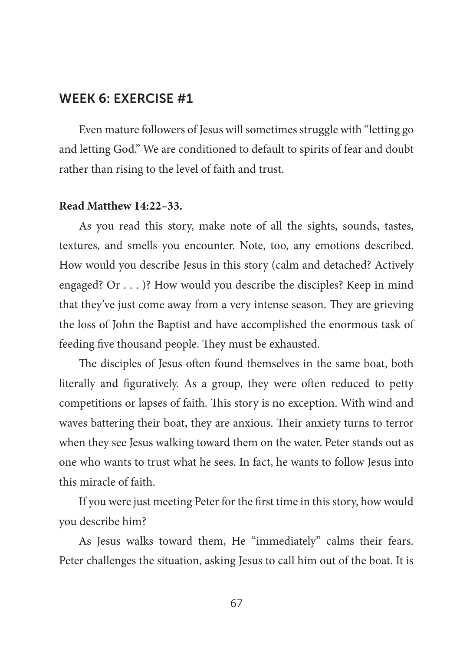Even mature followers of Jesus will sometimes struggle with "letting go and letting God." We are conditioned to default to spirits of fear and doubt rather than rising to the level of faith and trust.

### **Read Matthew 14:22–33.**

As you read this story, make note of all the sights, sounds, tastes, textures, and smells you encounter. Note, too, any emotions described. How would you describe Jesus in this story (calm and detached? Actively engaged? Or . . . )? How would you describe the disciples? Keep in mind that they've just come away from a very intense season. They are grieving the loss of John the Baptist and have accomplished the enormous task of feeding five thousand people. They must be exhausted.

The disciples of Jesus often found themselves in the same boat, both literally and figuratively. As a group, they were often reduced to petty competitions or lapses of faith. This story is no exception. With wind and waves battering their boat, they are anxious. Their anxiety turns to terror when they see Jesus walking toward them on the water. Peter stands out as one who wants to trust what he sees. In fact, he wants to follow Jesus into this miracle of faith.

If you were just meeting Peter for the first time in this story, how would you describe him?

As Jesus walks toward them, He "immediately" calms their fears. Peter challenges the situation, asking Jesus to call him out of the boat. It is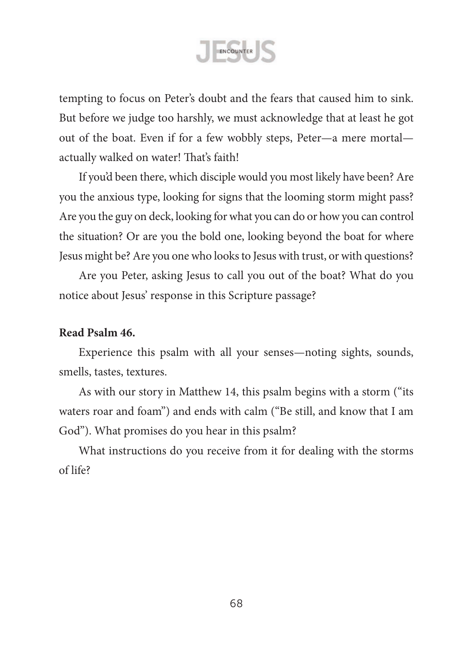

tempting to focus on Peter's doubt and the fears that caused him to sink. But before we judge too harshly, we must acknowledge that at least he got out of the boat. Even if for a few wobbly steps, Peter—a mere mortal actually walked on water! That's faith!

If you'd been there, which disciple would you most likely have been? Are you the anxious type, looking for signs that the looming storm might pass? Are you the guy on deck, looking for what you can do or how you can control the situation? Or are you the bold one, looking beyond the boat for where Jesus might be?Are you one who looksto Jesus with trust, or with questions?

Are you Peter, asking Jesus to call you out of the boat? What do you notice about Jesus' response in this Scripture passage?

### **Read Psalm 46.**

Experience this psalm with all your senses—noting sights, sounds, smells, tastes, textures.

As with our story in Matthew 14, this psalm begins with a storm ("its waters roar and foam") and ends with calm ("Be still, and know that I am God"). What promises do you hear in this psalm?

What instructions do you receive from it for dealing with the storms of life?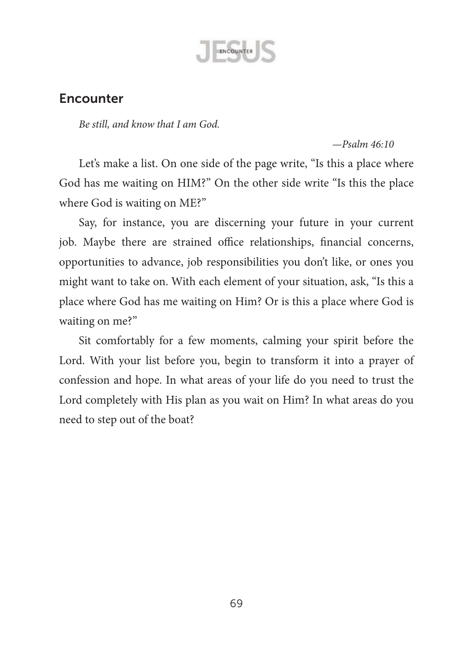

## **Encounter**

*Be still, and know that I am God.*

#### *—Psalm 46:10*

Let's make a list. On one side of the page write, "Is this a place where God has me waiting on HIM?" On the other side write "Is this the place where God is waiting on ME?"

Say, for instance, you are discerning your future in your current job. Maybe there are strained office relationships, financial concerns, opportunities to advance, job responsibilities you don't like, or ones you might want to take on. With each element of your situation, ask, "Is this a place where God has me waiting on Him? Or is this a place where God is waiting on me?"

Sit comfortably for a few moments, calming your spirit before the Lord. With your list before you, begin to transform it into a prayer of confession and hope. In what areas of your life do you need to trust the Lord completely with His plan as you wait on Him? In what areas do you need to step out of the boat?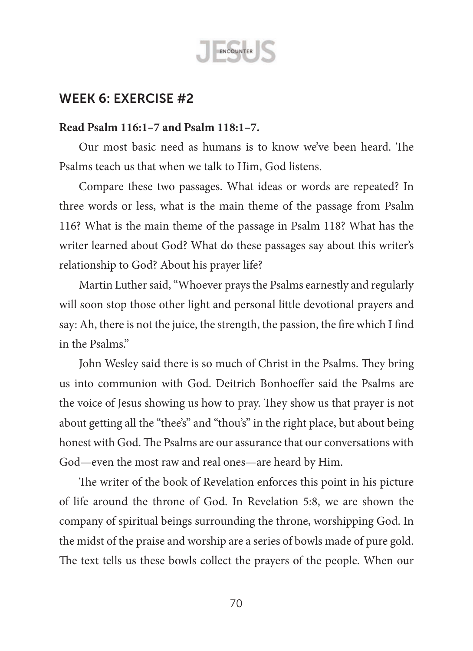

### **Read Psalm 116:1–7 and Psalm 118:1–7.**

Our most basic need as humans is to know we've been heard. The Psalms teach us that when we talk to Him, God listens.

Compare these two passages. What ideas or words are repeated? In three words or less, what is the main theme of the passage from Psalm 116? What is the main theme of the passage in Psalm 118? What has the writer learned about God? What do these passages say about this writer's relationship to God? About his prayer life?

Martin Luther said, "Whoever prays the Psalms earnestly and regularly will soon stop those other light and personal little devotional prayers and say: Ah, there is not the juice, the strength, the passion, the fire which I find in the Psalms."

John Wesley said there is so much of Christ in the Psalms. They bring us into communion with God. Deitrich Bonhoeffer said the Psalms are the voice of Jesus showing us how to pray. They show us that prayer is not about getting all the "thee's" and "thou's" in the right place, but about being honest with God. The Psalms are our assurance that our conversations with God—even the most raw and real ones—are heard by Him.

The writer of the book of Revelation enforces this point in his picture of life around the throne of God. In Revelation 5:8, we are shown the company of spiritual beings surrounding the throne, worshipping God. In the midst of the praise and worship are a series of bowls made of pure gold. The text tells us these bowls collect the prayers of the people. When our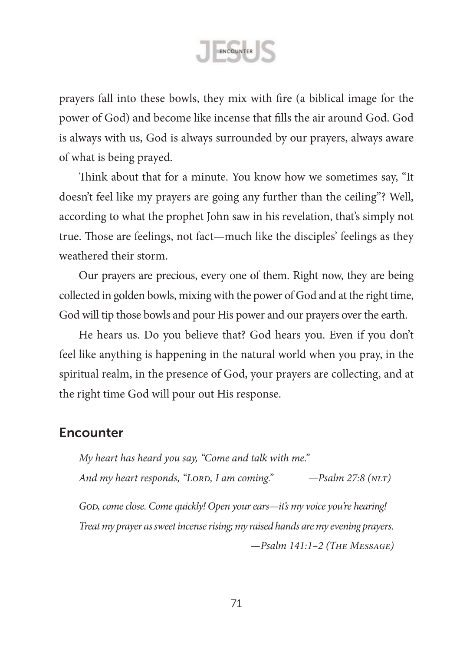ENCOUNTER

prayers fall into these bowls, they mix with fire (a biblical image for the power of God) and become like incense that fills the air around God. God is always with us, God is always surrounded by our prayers, always aware of what is being prayed.

Think about that for a minute. You know how we sometimes say, "It doesn't feel like my prayers are going any further than the ceiling"? Well, according to what the prophet John saw in his revelation, that's simply not true. Those are feelings, not fact—much like the disciples' feelings as they weathered their storm.

Our prayers are precious, every one of them. Right now, they are being collected in golden bowls, mixing with the power of God and at the right time, God will tip those bowls and pour His power and our prayers over the earth.

He hears us. Do you believe that? God hears you. Even if you don't feel like anything is happening in the natural world when you pray, in the spiritual realm, in the presence of God, your prayers are collecting, and at the right time God will pour out His response.

### Encounter

*My heart has heard you say, "Come and talk with me."* And my heart responds, "LORD, I am coming." –Psalm 27:8 (NLT)

*God, come close. Come quickly! Open your ears—it's my voice you're hearing! Treat my prayer as sweet incense rising; my raised hands are my evening prayers. —Psalm 141:1–2 (The Message)*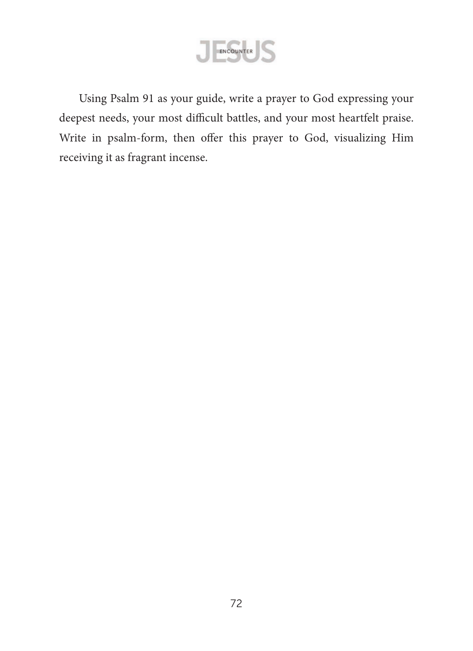

Using Psalm 91 as your guide, write a prayer to God expressing your deepest needs, your most difficult battles, and your most heartfelt praise. Write in psalm-form, then offer this prayer to God, visualizing Him receiving it as fragrant incense.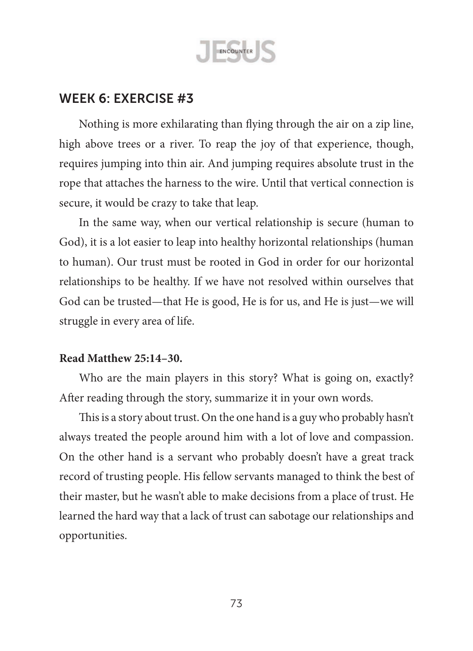

Nothing is more exhilarating than flying through the air on a zip line, high above trees or a river. To reap the joy of that experience, though, requires jumping into thin air. And jumping requires absolute trust in the rope that attaches the harness to the wire. Until that vertical connection is secure, it would be crazy to take that leap.

In the same way, when our vertical relationship is secure (human to God), it is a lot easier to leap into healthy horizontal relationships (human to human). Our trust must be rooted in God in order for our horizontal relationships to be healthy. If we have not resolved within ourselves that God can be trusted—that He is good, He is for us, and He is just—we will struggle in every area of life.

#### **Read Matthew 25:14–30.**

Who are the main players in this story? What is going on, exactly? After reading through the story, summarize it in your own words.

This is a story about trust. On the one hand is a guy who probably hasn't always treated the people around him with a lot of love and compassion. On the other hand is a servant who probably doesn't have a great track record of trusting people. His fellow servants managed to think the best of their master, but he wasn't able to make decisions from a place of trust. He learned the hard way that a lack of trust can sabotage our relationships and opportunities.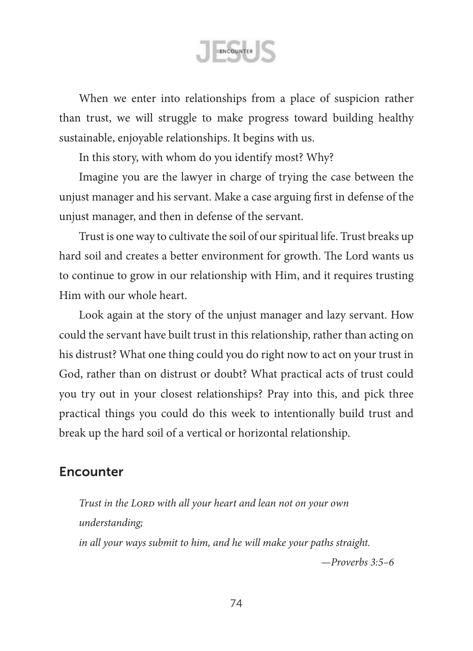ENCOUNTER

When we enter into relationships from a place of suspicion rather than trust, we will struggle to make progress toward building healthy sustainable, enjoyable relationships. It begins with us.

In this story, with whom do you identify most? Why?

Imagine you are the lawyer in charge of trying the case between the unjust manager and his servant. Make a case arguing first in defense of the unjust manager, and then in defense of the servant.

Trust is one way to cultivate the soil of our spiritual life. Trust breaks up hard soil and creates a better environment for growth. The Lord wants us to continue to grow in our relationship with Him, and it requires trusting Him with our whole heart.

Look again at the story of the unjust manager and lazy servant. How could the servant have built trust in this relationship, rather than acting on his distrust? What one thing could you do right now to act on your trust in God, rather than on distrust or doubt? What practical acts of trust could you try out in your closest relationships? Pray into this, and pick three practical things you could do this week to intentionally build trust and break up the hard soil of a vertical or horizontal relationship.

# **Encounter**

*Trust in the Lord with all your heart and lean not on your own understanding; in all your ways submit to him, and he will make your paths straight. —Proverbs 3:5–6*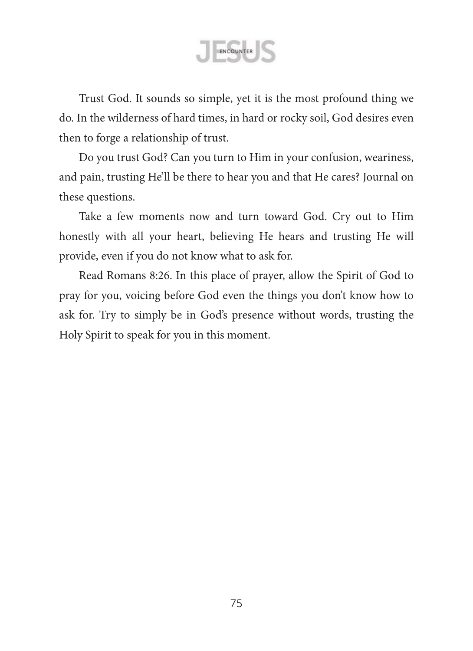ENCOUNTER

Trust God. It sounds so simple, yet it is the most profound thing we do. In the wilderness of hard times, in hard or rocky soil, God desires even then to forge a relationship of trust.

Do you trust God? Can you turn to Him in your confusion, weariness, and pain, trusting He'll be there to hear you and that He cares? Journal on these questions.

Take a few moments now and turn toward God. Cry out to Him honestly with all your heart, believing He hears and trusting He will provide, even if you do not know what to ask for.

Read Romans 8:26. In this place of prayer, allow the Spirit of God to pray for you, voicing before God even the things you don't know how to ask for. Try to simply be in God's presence without words, trusting the Holy Spirit to speak for you in this moment.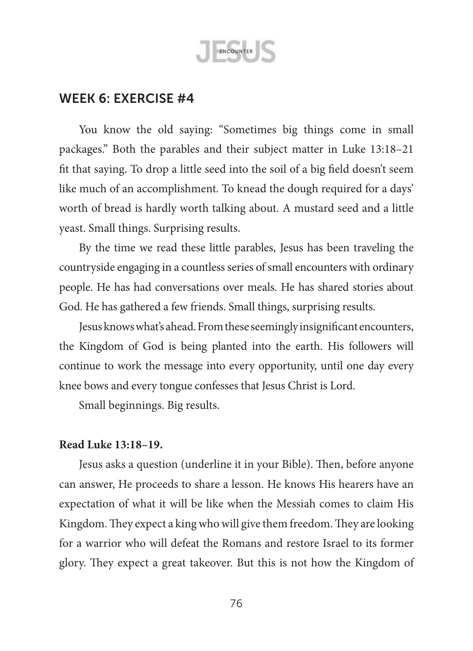

You know the old saying: "Sometimes big things come in small packages." Both the parables and their subject matter in Luke 13:18–21 fit that saying. To drop a little seed into the soil of a big field doesn't seem like much of an accomplishment. To knead the dough required for a days' worth of bread is hardly worth talking about. A mustard seed and a little yeast. Small things. Surprising results.

By the time we read these little parables, Jesus has been traveling the countryside engaging in a countless series of small encounters with ordinary people. He has had conversations over meals. He has shared stories about God. He has gathered a few friends. Small things, surprising results.

Jesus knows what's ahead. From these seemingly insignificant encounters, the Kingdom of God is being planted into the earth. His followers will continue to work the message into every opportunity, until one day every knee bows and every tongue confesses that Jesus Christ is Lord.

Small beginnings. Big results.

### **Read Luke 13:18–19.**

Jesus asks a question (underline it in your Bible). Then, before anyone can answer, He proceeds to share a lesson. He knows His hearers have an expectation of what it will be like when the Messiah comes to claim His Kingdom. They expect a king who will give them freedom. They are looking for a warrior who will defeat the Romans and restore Israel to its former glory. They expect a great takeover. But this is not how the Kingdom of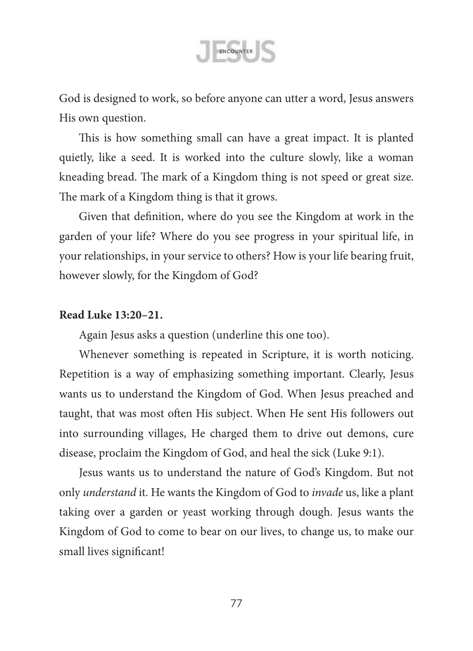

God is designed to work, so before anyone can utter a word, Jesus answers His own question.

This is how something small can have a great impact. It is planted quietly, like a seed. It is worked into the culture slowly, like a woman kneading bread. The mark of a Kingdom thing is not speed or great size. The mark of a Kingdom thing is that it grows.

Given that definition, where do you see the Kingdom at work in the garden of your life? Where do you see progress in your spiritual life, in your relationships, in your service to others? How is your life bearing fruit, however slowly, for the Kingdom of God?

### **Read Luke 13:20–21.**

Again Jesus asks a question (underline this one too).

Whenever something is repeated in Scripture, it is worth noticing. Repetition is a way of emphasizing something important. Clearly, Jesus wants us to understand the Kingdom of God. When Jesus preached and taught, that was most often His subject. When He sent His followers out into surrounding villages, He charged them to drive out demons, cure disease, proclaim the Kingdom of God, and heal the sick (Luke 9:1).

Jesus wants us to understand the nature of God's Kingdom. But not only *understand* it. He wants the Kingdom of God to *invade* us, like a plant taking over a garden or yeast working through dough. Jesus wants the Kingdom of God to come to bear on our lives, to change us, to make our small lives significant!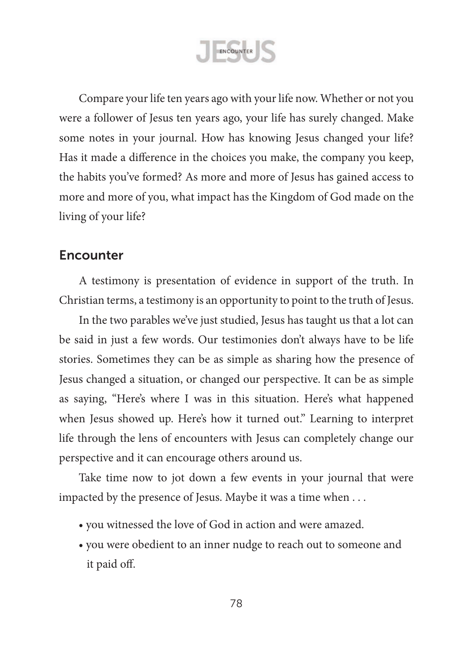ENCOUNTER

Compare your life ten years ago with your life now. Whether or not you were a follower of Jesus ten years ago, your life has surely changed. Make some notes in your journal. How has knowing Jesus changed your life? Has it made a difference in the choices you make, the company you keep, the habits you've formed? As more and more of Jesus has gained access to more and more of you, what impact has the Kingdom of God made on the living of your life?

## **Encounter**

A testimony is presentation of evidence in support of the truth. In Christian terms, a testimony is an opportunity to point to the truth of Jesus.

In the two parables we've just studied, Jesus has taught us that a lot can be said in just a few words. Our testimonies don't always have to be life stories. Sometimes they can be as simple as sharing how the presence of Jesus changed a situation, or changed our perspective. It can be as simple as saying, "Here's where I was in this situation. Here's what happened when Jesus showed up. Here's how it turned out." Learning to interpret life through the lens of encounters with Jesus can completely change our perspective and it can encourage others around us.

Take time now to jot down a few events in your journal that were impacted by the presence of Jesus. Maybe it was a time when . . .

- you witnessed the love of God in action and were amazed.
- you were obedient to an inner nudge to reach out to someone and it paid off.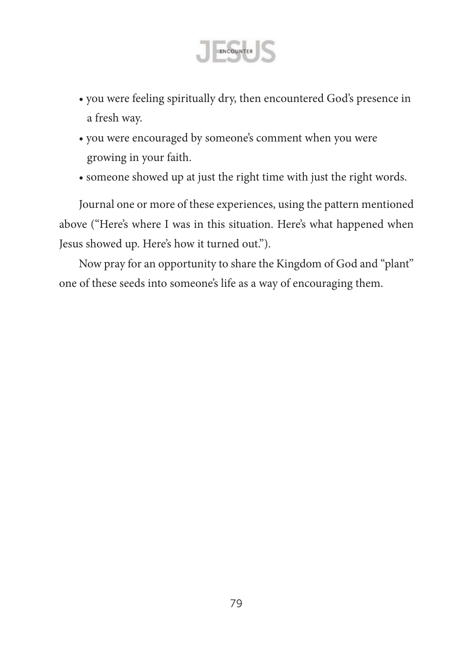

- you were feeling spiritually dry, then encountered God's presence in a fresh way.
- you were encouraged by someone's comment when you were growing in your faith.
- someone showed up at just the right time with just the right words.

Journal one or more of these experiences, using the pattern mentioned above ("Here's where I was in this situation. Here's what happened when Jesus showed up. Here's how it turned out.").

Now pray for an opportunity to share the Kingdom of God and "plant" one of these seeds into someone's life as a way of encouraging them.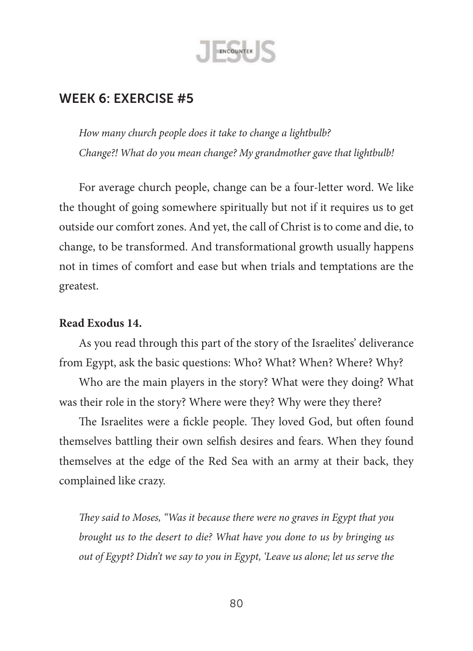

*How many church people does it take to change a lightbulb? Change?! What do you mean change? My grandmother gave that lightbulb!*

For average church people, change can be a four-letter word. We like the thought of going somewhere spiritually but not if it requires us to get outside our comfort zones. And yet, the call of Christ is to come and die, to change, to be transformed. And transformational growth usually happens not in times of comfort and ease but when trials and temptations are the greatest.

### **Read Exodus 14.**

As you read through this part of the story of the Israelites' deliverance from Egypt, ask the basic questions: Who? What? When? Where? Why?

Who are the main players in the story? What were they doing? What was their role in the story? Where were they? Why were they there?

The Israelites were a fickle people. They loved God, but often found themselves battling their own selfish desires and fears. When they found themselves at the edge of the Red Sea with an army at their back, they complained like crazy.

*They said to Moses, "Was it because there were no graves in Egypt that you brought us to the desert to die? What have you done to us by bringing us out of Egypt? Didn't we say to you in Egypt, 'Leave us alone; let us serve the*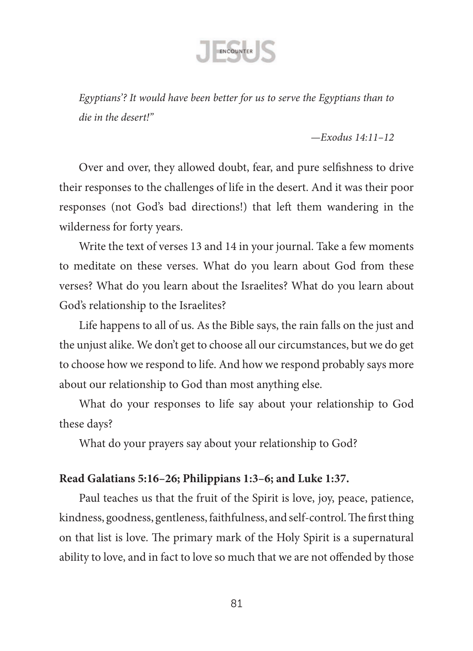

*Egyptians'? It would have been better for us to serve the Egyptians than to die in the desert!"* 

*—Exodus 14:11–12*

Over and over, they allowed doubt, fear, and pure selfishness to drive their responses to the challenges of life in the desert. And it was their poor responses (not God's bad directions!) that left them wandering in the wilderness for forty years.

Write the text of verses 13 and 14 in your journal. Take a few moments to meditate on these verses. What do you learn about God from these verses? What do you learn about the Israelites? What do you learn about God's relationship to the Israelites?

Life happens to all of us. As the Bible says, the rain falls on the just and the unjust alike. We don't get to choose all our circumstances, but we do get to choose how we respond to life. And how we respond probably says more about our relationship to God than most anything else.

What do your responses to life say about your relationship to God these days?

What do your prayers say about your relationship to God?

### **Read Galatians 5:16–26; Philippians 1:3–6; and Luke 1:37.**

Paul teaches us that the fruit of the Spirit is love, joy, peace, patience, kindness, goodness, gentleness, faithfulness, and self-control. The first thing on that list is love. The primary mark of the Holy Spirit is a supernatural ability to love, and in fact to love so much that we are not offended by those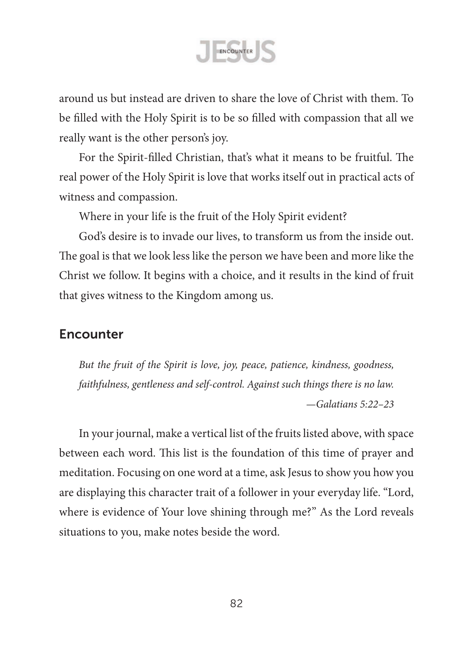

around us but instead are driven to share the love of Christ with them. To be filled with the Holy Spirit is to be so filled with compassion that all we really want is the other person's joy.

For the Spirit-filled Christian, that's what it means to be fruitful. The real power of the Holy Spirit is love that works itself out in practical acts of witness and compassion.

Where in your life is the fruit of the Holy Spirit evident?

God's desire is to invade our lives, to transform us from the inside out. The goal is that we look less like the person we have been and more like the Christ we follow. It begins with a choice, and it results in the kind of fruit that gives witness to the Kingdom among us.

# Encounter

*But the fruit of the Spirit is love, joy, peace, patience, kindness, goodness, faithfulness, gentleness and self-control. Against such things there is no law. —Galatians 5:22–23*

In your journal, make a vertical list of the fruits listed above, with space between each word. This list is the foundation of this time of prayer and meditation. Focusing on one word at a time, ask Jesus to show you how you are displaying this character trait of a follower in your everyday life. "Lord, where is evidence of Your love shining through me?" As the Lord reveals situations to you, make notes beside the word.